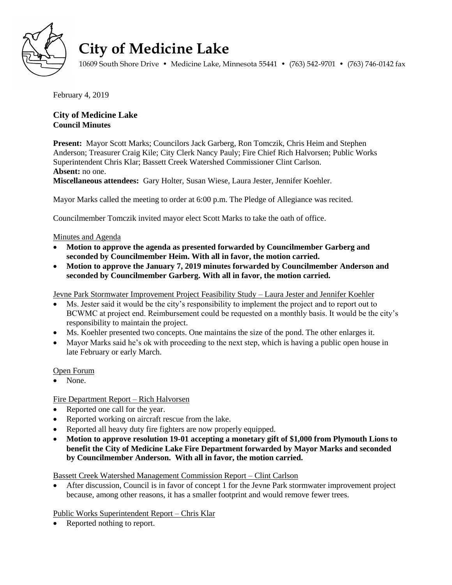

# **City of Medicine Lake**

10609 South Shore Drive • Medicine Lake, Minnesota 55441 • (763) 542-9701 • (763) 746-0142 fax

February 4, 2019

# **City of Medicine Lake Council Minutes**

**Present:** Mayor Scott Marks; Councilors Jack Garberg, Ron Tomczik, Chris Heim and Stephen Anderson; Treasurer Craig Kile; City Clerk Nancy Pauly; Fire Chief Rich Halvorsen; Public Works Superintendent Chris Klar; Bassett Creek Watershed Commissioner Clint Carlson. **Absent:** no one. **Miscellaneous attendees:** Gary Holter, Susan Wiese, Laura Jester, Jennifer Koehler.

Mayor Marks called the meeting to order at 6:00 p.m. The Pledge of Allegiance was recited.

Councilmember Tomczik invited mayor elect Scott Marks to take the oath of office.

#### Minutes and Agenda

- **Motion to approve the agenda as presented forwarded by Councilmember Garberg and seconded by Councilmember Heim. With all in favor, the motion carried.**
- **Motion to approve the January 7, 2019 minutes forwarded by Councilmember Anderson and seconded by Councilmember Garberg. With all in favor, the motion carried.**

Jevne Park Stormwater Improvement Project Feasibility Study – Laura Jester and Jennifer Koehler

- Ms. Jester said it would be the city's responsibility to implement the project and to report out to BCWMC at project end. Reimbursement could be requested on a monthly basis. It would be the city's responsibility to maintain the project.
- Ms. Koehler presented two concepts. One maintains the size of the pond. The other enlarges it.
- Mayor Marks said he's ok with proceeding to the next step, which is having a public open house in late February or early March.

Open Forum

None.

# Fire Department Report – Rich Halvorsen

- Reported one call for the year.
- Reported working on aircraft rescue from the lake.
- Reported all heavy duty fire fighters are now properly equipped.
- **Motion to approve resolution 19-01 accepting a monetary gift of \$1,000 from Plymouth Lions to benefit the City of Medicine Lake Fire Department forwarded by Mayor Marks and seconded by Councilmember Anderson. With all in favor, the motion carried.**

Bassett Creek Watershed Management Commission Report – Clint Carlson

 After discussion, Council is in favor of concept 1 for the Jevne Park stormwater improvement project because, among other reasons, it has a smaller footprint and would remove fewer trees.

Public Works Superintendent Report – Chris Klar

• Reported nothing to report.